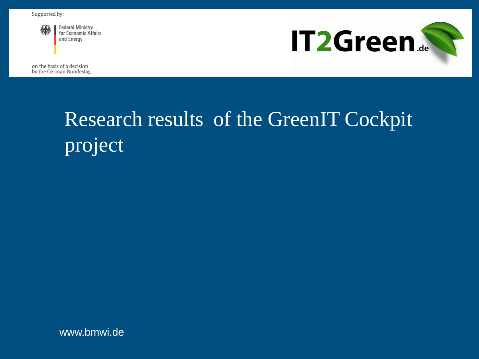

**Federal Ministry** for Economic Affairs and Energy

on the basis of a decision by the German Bundestag



# Research results of the GreenIT Cockpit project

www.bmwi.de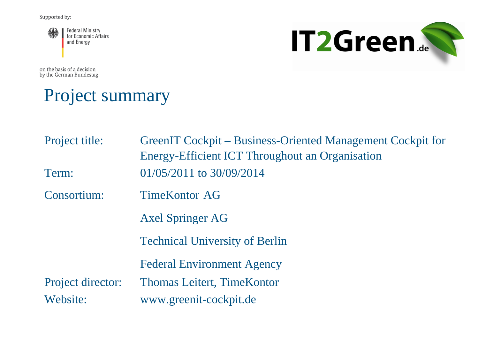**Federal Ministry<br>for Economic Affairs** and Energy

by the German Bundestag

on the basis of a decision



#### Project summary

| Project title:    | GreenIT Cockpit – Business-Oriented Management Cockpit for<br>Energy-Efficient ICT Throughout an Organisation |
|-------------------|---------------------------------------------------------------------------------------------------------------|
| Term:             | 01/05/2011 to 30/09/2014                                                                                      |
| Consortium:       | <b>TimeKontor AG</b>                                                                                          |
|                   | <b>Axel Springer AG</b>                                                                                       |
|                   | <b>Technical University of Berlin</b>                                                                         |
|                   | <b>Federal Environment Agency</b>                                                                             |
| Project director: | <b>Thomas Leitert, TimeKontor</b>                                                                             |
| Website:          | www.greenit-cockpit.de                                                                                        |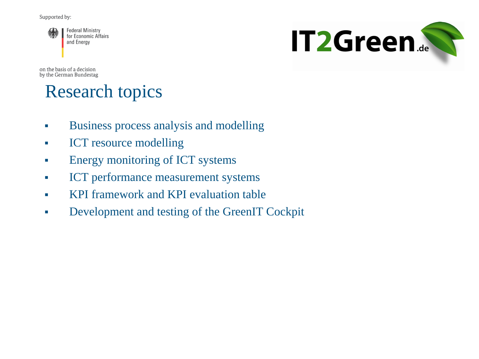



on the basis of a decision by the German Bundestag

#### Research topics

- **Business process analysis and modelling**
- **ICT** resource modelling
- **Energy monitoring of ICT systems**
- **ICT** performance measurement systems
- **KPI framework and KPI evaluation table**
- Development and testing of the GreenIT Cockpit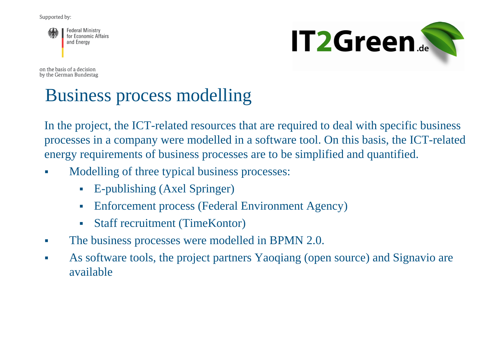**Federal Ministry** for Economic Affairs and Energy

**IT2Green...** 

on the basis of a decision by the German Bundestag

## Business process modelling

In the project, the ICT-related resources that are required to deal with specific business processes in a company were modelled in a software tool. On this basis, the ICT-related energy requirements of business processes are to be simplified and quantified.

- Modelling of three typical business processes:
	- E-publishing (Axel Springer)
	- Enforcement process (Federal Environment Agency)
	- Staff recruitment (TimeKontor)
- The business processes were modelled in BPMN 2.0.
- As software tools, the project partners Yaoqiang (open source) and Signavio are available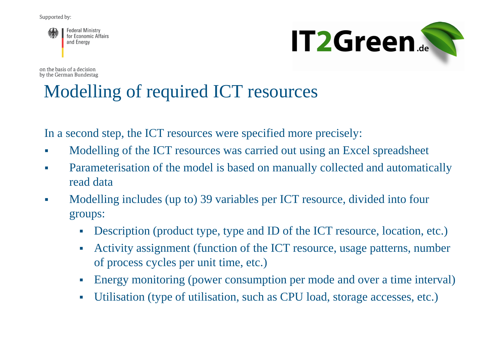**Federal Ministry** for Economic Affairs and Energy



on the basis of a decision by the German Bundestag

#### Modelling of required ICT resources

In a second step, the ICT resources were specified more precisely:

- Modelling of the ICT resources was carried out using an Excel spreadsheet
- Parameterisation of the model is based on manually collected and automatically read data
- Modelling includes (up to) 39 variables per ICT resource, divided into four groups:
	- Description (product type, type and ID of the ICT resource, location, etc.)
	- Activity assignment (function of the ICT resource, usage patterns, number of process cycles per unit time, etc.)
	- Energy monitoring (power consumption per mode and over a time interval)
	- Utilisation (type of utilisation, such as CPU load, storage accesses, etc.)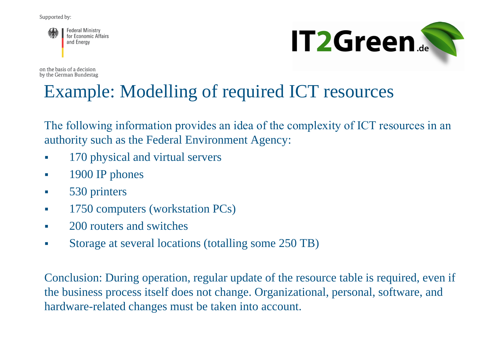**Federal Ministry** for Economic Affairs and Energy



on the basis of a decision by the German Bundestag

#### Example: Modelling of required ICT resources

The following information provides an idea of the complexity of ICT resources in an authority such as the Federal Environment Agency:

- 170 physical and virtual servers
- **1900 IP phones**
- **530 printers**
- <sup>1750</sup> computers (workstation PCs)
- 200 routers and switches
- Storage at several locations (totalling some 250 TB)

Conclusion: During operation, regular update of the resource table is required, even if the business process itself does not change. Organizational, personal, software, and hardware-related changes must be taken into account.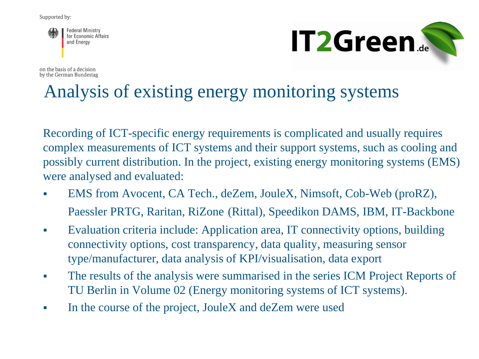**Federal Ministry** for Economic Affairs and Energy

**IT2Green...** 

on the basis of a decision by the German Bundestag

#### Analysis of existing energy monitoring systems

Recording of ICT-specific energy requirements is complicated and usually requires complex measurements of ICT systems and their support systems, such as cooling and possibly current distribution. In the project, existing energy monitoring systems (EMS) were analysed and evaluated:

- EMS from Avocent, CA Tech., deZem, JouleX, Nimsoft, Cob-Web (proRZ), Paessler PRTG, Raritan, RiZone (Rittal), Speedikon DAMS, IBM, IT-Backbone
- Evaluation criteria include: Application area, IT connectivity options, building connectivity options, cost transparency, data quality, measuring sensor type/manufacturer, data analysis of KPI/visualisation, data export
- The results of the analysis were summarised in the series ICM Project Reports of TU Berlin in Volume 02 (Energy monitoring systems of ICT systems).
- In the course of the project, JouleX and deZem were used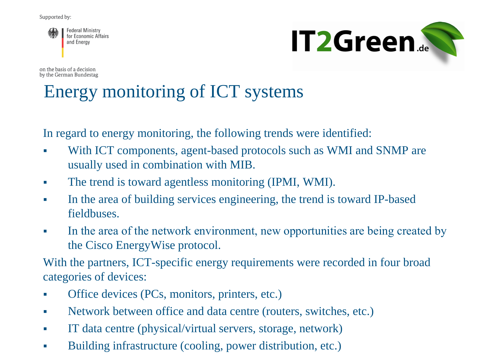**Federal Ministry** for Economic Affairs and Energy



on the basis of a decision by the German Bundestag

#### Energy monitoring of ICT systems

In regard to energy monitoring, the following trends were identified:

- With ICT components, agent-based protocols such as WMI and SNMP are usually used in combination with MIB.
- The trend is toward agentless monitoring (IPMI, WMI).
- In the area of building services engineering, the trend is toward IP-based fieldbuses.
- In the area of the network environment, new opportunities are being created by the Cisco EnergyWise protocol.

With the partners, ICT-specific energy requirements were recorded in four broad categories of devices:

- Office devices (PCs, monitors, printers, etc.)
- Network between office and data centre (routers, switches, etc.)
- IT data centre (physical/virtual servers, storage, network)
- Building infrastructure (cooling, power distribution, etc.)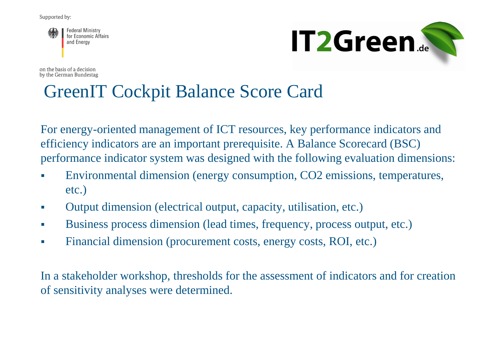**Federal Ministry** for Economic Affairs and Energy



on the basis of a decision by the German Bundestag

## GreenIT Cockpit Balance Score Card

For energy-oriented management of ICT resources, key performance indicators and efficiency indicators are an important prerequisite. A Balance Scorecard (BSC) performance indicator system was designed with the following evaluation dimensions:

- Environmental dimension (energy consumption, CO2 emissions, temperatures, etc.)
- Output dimension (electrical output, capacity, utilisation, etc.)
- Business process dimension (lead times, frequency, process output, etc.)
- Financial dimension (procurement costs, energy costs, ROI, etc.)

In a stakeholder workshop, thresholds for the assessment of indicators and for creation of sensitivity analyses were determined.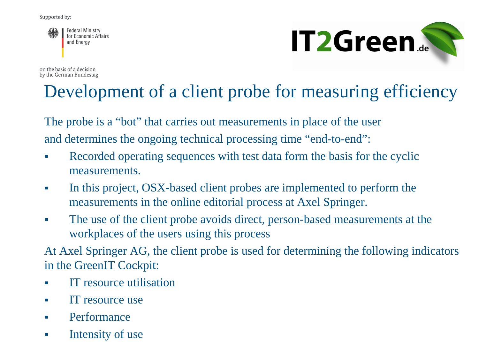**Federal Ministry** for Economic Affairs and Energy

on the basis of a decision by the German Bundestag



## Development of a client probe for measuring efficiency

The probe is a "bot" that carries out measurements in place of the user and determines the ongoing technical processing time "end-to-end":

- Recorded operating sequences with test data form the basis for the cyclic measurements.
- In this project, OSX-based client probes are implemented to perform the measurements in the online editorial process at Axel Springer.
- The use of the client probe avoids direct, person-based measurements at the workplaces of the users using this process

At Axel Springer AG, the client probe is used for determining the following indicators in the GreenIT Cockpit:

- IT resource utilisation
- **IT** resource use
- **Performance**
- **Intensity of use**